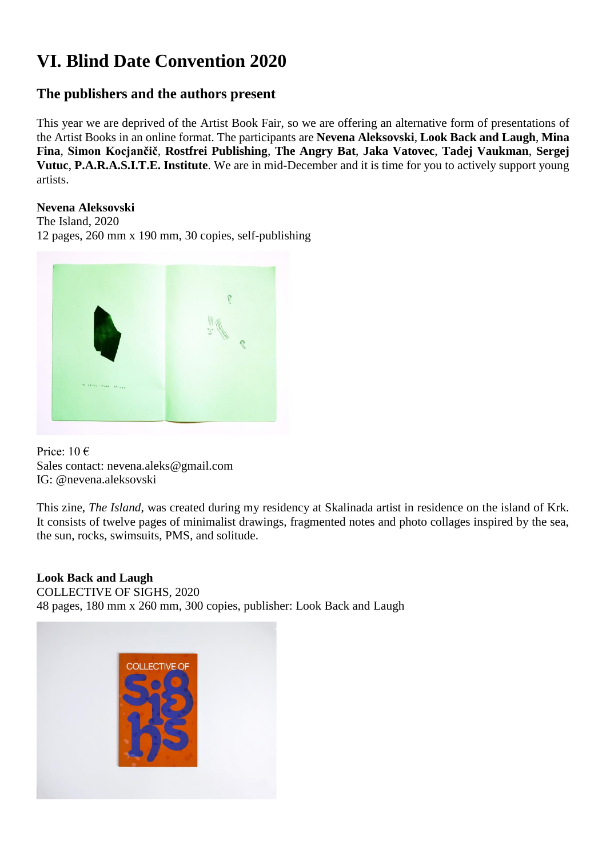# **VI. Blind Date Convention 2020**

# **The publishers and the authors present**

This year we are deprived of the Artist Book Fair, so we are offering an alternative form of presentations of the Artist Books in an online format. The participants are **Nevena Aleksovski**, **Look Back and Laugh**, **Mina Fina**, **Simon Kocjančič**, **Rostfrei Publishing**, **The Angry Bat**, **Jaka Vatovec**, **Tadej Vaukman**, **Sergej Vutuc**, **P.A.R.A.S.I.T.E. Institute**. We are in mid-December and it is time for you to actively support young artists.

## **Nevena Aleksovski**

The Island, 2020 12 pages, 260 mm x 190 mm, 30 copies, self-publishing



Price:  $10 \in$ Sales contact: nevena.aleks@gmail.com IG: @nevena.aleksovski

This zine, *The Island*, was created during my residency at Skalinada artist in residence on the island of Krk. It consists of twelve pages of minimalist drawings, fragmented notes and photo collages inspired by the sea, the sun, rocks, swimsuits, PMS, and solitude.

# **Look Back and Laugh**

COLLECTIVE OF SIGHS, 2020 48 pages, 180 mm x 260 mm, 300 copies, publisher: Look Back and Laugh

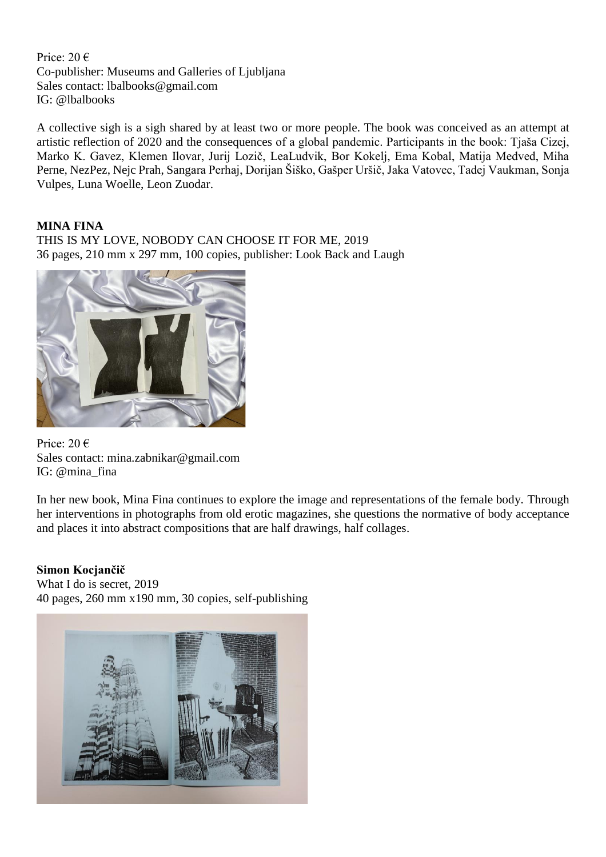Price: 20 € Co-publisher: Museums and Galleries of Ljubljana Sales contact: lbalbooks@gmail.com IG: @lbalbooks

A collective sigh is a sigh shared by at least two or more people. The book was conceived as an attempt at artistic reflection of 2020 and the consequences of a global pandemic. Participants in the book: Tjaša Cizej, Marko K. Gavez, Klemen Ilovar, Jurij Lozič, LeaLudvik, Bor Kokelj, Ema Kobal, Matija Medved, Miha Perne, NezPez, Nejc Prah, Sangara Perhaj, Dorijan Šiško, Gašper Uršič, Jaka Vatovec, Tadej Vaukman, Sonja Vulpes, Luna Woelle, Leon Zuodar.

#### **MINA FINA**

THIS IS MY LOVE, NOBODY CAN CHOOSE IT FOR ME, 2019 36 pages, 210 mm x 297 mm, 100 copies, publisher: Look Back and Laugh



Price: 20 € Sales contact: mina.zabnikar@gmail.com IG: @mina\_fina

In her new book, Mina Fina continues to explore the image and representations of the female body. Through her interventions in photographs from old erotic magazines, she questions the normative of body acceptance and places it into abstract compositions that are half drawings, half collages.

#### **Simon Kocjančič**

What I do is secret, 2019 40 pages, 260 mm x190 mm, 30 copies, self-publishing

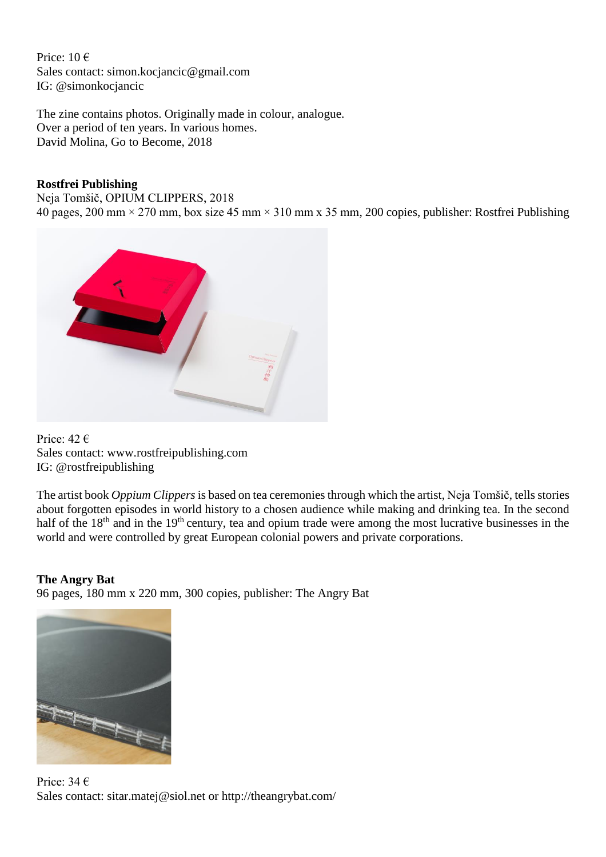Price: 10 € Sales contact: simon.kocjancic@gmail.com IG: @simonkocjancic

The zine contains photos. Originally made in colour, analogue. Over a period of ten years. In various homes. David Molina, Go to Become, 2018

#### **Rostfrei Publishing**

Neja Tomšič, OPIUM CLIPPERS, 2018

40 pages, 200 mm × 270 mm, box size 45 mm × 310 mm x 35 mm, 200 copies, publisher: Rostfrei Publishing



Price: 42 € Sales contact: www.rostfreipublishing.com IG: @rostfreipublishing

The artist book *Oppium Clippers* is based on tea ceremonies through which the artist, Neja Tomšič, tells stories about forgotten episodes in world history to a chosen audience while making and drinking tea. In the second half of the 18<sup>th</sup> and in the 19<sup>th</sup> century, tea and opium trade were among the most lucrative businesses in the world and were controlled by great European colonial powers and private corporations.

# **The Angry Bat**

96 pages, 180 mm x 220 mm, 300 copies, publisher: The Angry Bat



Price: 34 € Sales contact: sitar.matej@siol.net or http://theangrybat.com/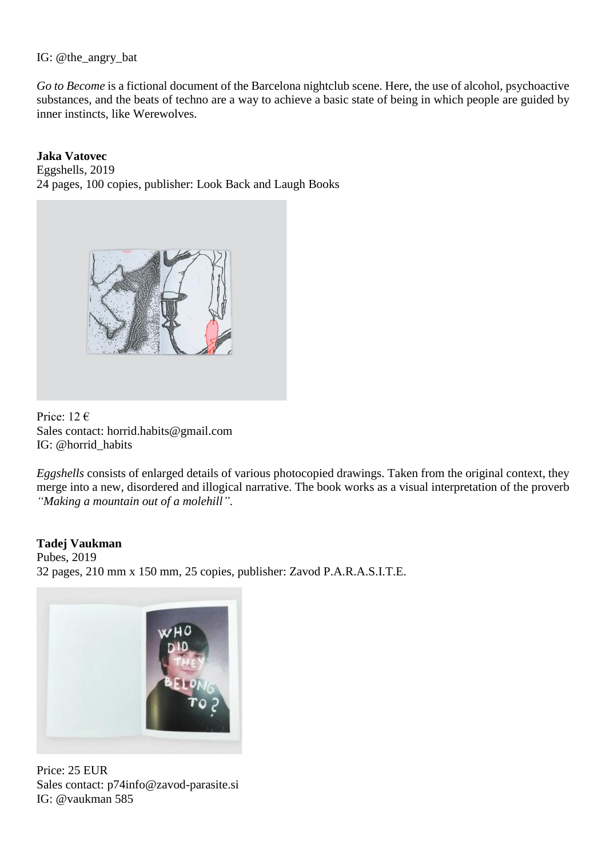#### IG: @the\_angry\_bat

*Go to Become* is a fictional document of the Barcelona nightclub scene. Here, the use of alcohol, psychoactive substances, and the beats of techno are a way to achieve a basic state of being in which people are guided by inner instincts, like Werewolves.

## **Jaka Vatovec**

Eggshells, 2019 24 pages, 100 copies, publisher: Look Back and Laugh Books



Price: 12 € Sales contact: horrid.habits@gmail.com IG: @horrid\_habits

*Eggshells* consists of enlarged details of various photocopied drawings. Taken from the original context, they merge into a new, disordered and illogical narrative. The book works as a visual interpretation of the proverb *"Making a mountain out of a molehill"*.

#### **Tadej Vaukman**

Pubes, 2019 32 pages, 210 mm x 150 mm, 25 copies, publisher: Zavod P.A.R.A.S.I.T.E.



Price: 25 EUR Sales contact: [p74info@zavod-parasite.si](mailto:p74info@zavod-parasite.si) IG: @vaukman 585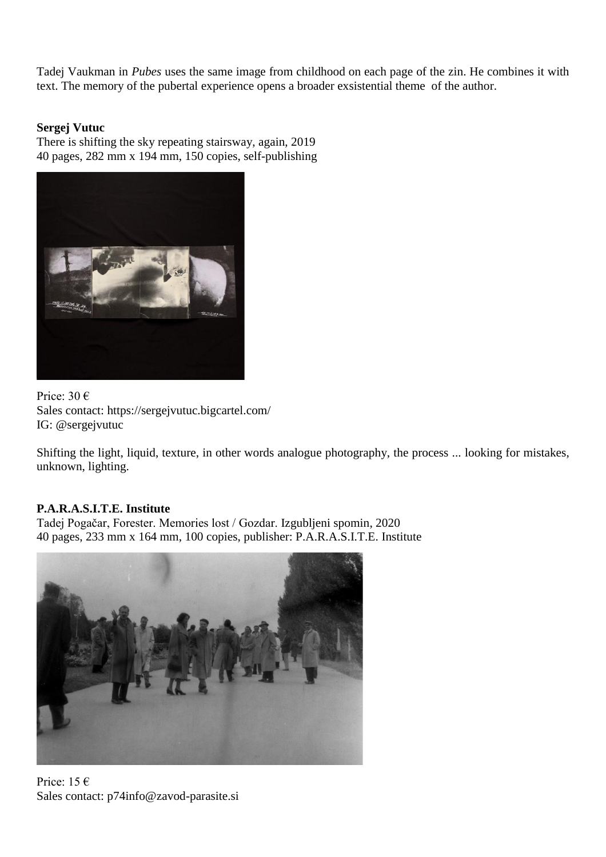Tadej Vaukman in *Pubes* uses the same image from childhood on each page of the zin. He combines it with text. The memory of the pubertal experience opens a broader exsistential theme of the author.

## **Sergej Vutuc**

There is shifting the sky repeating stairsway, again, 2019 40 pages, 282 mm x 194 mm, 150 copies, self-publishing



Price: 30 € Sales contact: https://sergejvutuc.bigcartel.com/ IG: @sergejvutuc

Shifting the light, liquid, texture, in other words analogue photography, the process ... looking for mistakes, unknown, lighting.

# **P.A.R.A.S.I.T.E. Institute**

Tadej Pogačar, Forester. Memories lost / Gozdar. Izgubljeni spomin, 2020 40 pages, 233 mm x 164 mm, 100 copies, publisher: P.A.R.A.S.I.T.E. Institute



Price: 15 $\epsilon$ Sales contact: p74info@zavod-parasite.si